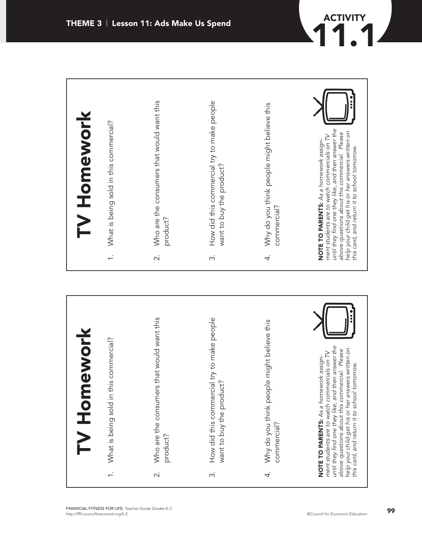

**ACTIVITY**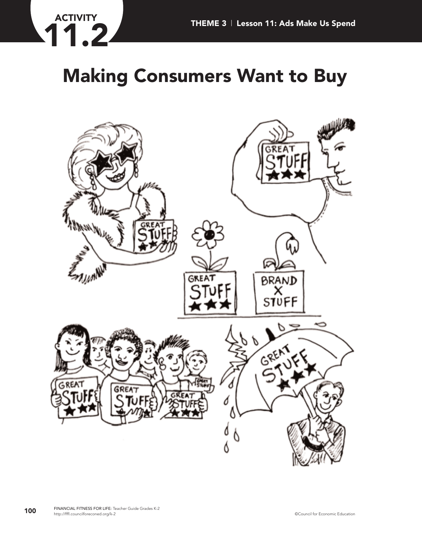

## **Making Consumers Want to Buy**